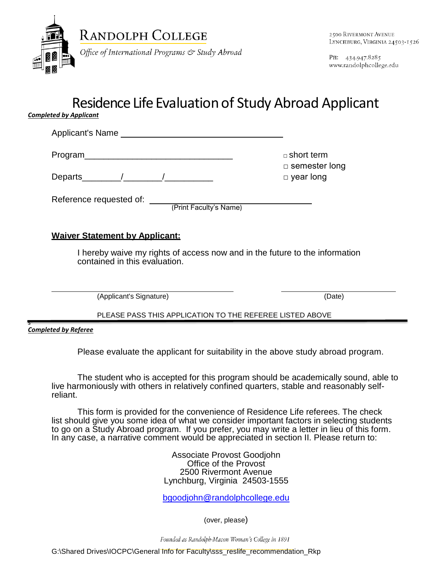

PH: 434.947.8285 www.randolphcollege.edu

## Residence Life Evaluation of Study Abroad Applicant

*Completed by Applicant*

Applicant's Name Program\_\_\_\_\_\_\_\_\_\_\_\_\_\_\_\_\_\_\_\_\_\_\_\_\_\_\_\_\_\_\_ □ short term □ semester long

Departs\_\_\_\_\_\_\_\_/\_\_\_\_\_\_\_\_/\_\_\_\_\_\_\_\_\_\_ □ year long

Reference requested of: \_\_\_\_\_\_\_\_\_\_\_\_\_\_\_\_\_\_\_\_\_\_\_\_\_\_\_\_\_

(Print Faculty's Name)

## **Waiver Statement by Applicant:**

I hereby waive my rights of access now and in the future to the information contained in this evaluation.

(Applicant's Signature) (Date)

## PLEASE PASS THIS APPLICATION TO THE REFEREE LISTED ABOVE

s *Completed by Referee*

Please evaluate the applicant for suitability in the above study abroad program.

The student who is accepted for this program should be academically sound, able to live harmoniously with others in relatively confined quarters, stable and reasonably selfreliant.

This form is provided for the convenience of Residence Life referees. The check list should give you some idea of what we consider important factors in selecting students to go on a Study Abroad program. If you prefer, you may write a letter in lieu of this form. In any case, a narrative comment would be appreciated in section II. Please return to:

> Associate Provost Goodjohn Office of the Provost 2500 Rivermont Avenue Lynchburg, Virginia 24503-1555

> [bgoodjohn@randolphcollege.edu](mailto:bgoodjohn@randolphcollege.edu)

(over, please)

Founded as Randolph-Macon Woman's College in 1891